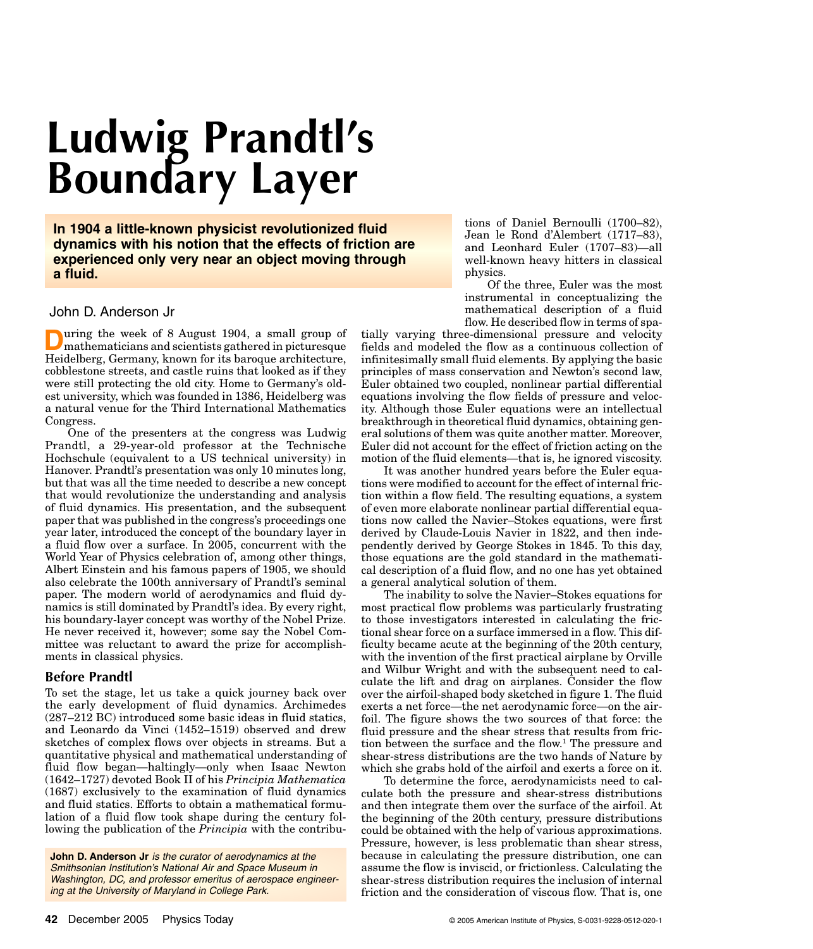# **Ludwig Prandtl's Boundary Layer**

**In 1904 a little-known physicist revolutionized fluid dynamics with his notion that the effects of friction are experienced only very near an object moving through a fluid.**

# John D. Anderson Jr

**D**uring the week of 8 August 1904, a small group of mathematicians and scientists gathered in picturesque Heidelberg, Germany, known for its baroque architecture, cobblestone streets, and castle ruins that looked as if they were still protecting the old city. Home to Germany's oldest university, which was founded in 1386, Heidelberg was a natural venue for the Third International Mathematics Congress.

One of the presenters at the congress was Ludwig Prandtl, a 29-year-old professor at the Technische Hochschule (equivalent to a US technical university) in Hanover. Prandtl's presentation was only 10 minutes long, but that was all the time needed to describe a new concept that would revolutionize the understanding and analysis of fluid dynamics. His presentation, and the subsequent paper that was published in the congress's proceedings one year later, introduced the concept of the boundary layer in a fluid flow over a surface. In 2005, concurrent with the World Year of Physics celebration of, among other things, Albert Einstein and his famous papers of 1905, we should also celebrate the 100th anniversary of Prandtl's seminal paper. The modern world of aerodynamics and fluid dynamics is still dominated by Prandtl's idea. By every right, his boundary-layer concept was worthy of the Nobel Prize. He never received it, however; some say the Nobel Committee was reluctant to award the prize for accomplishments in classical physics.

## **Before Prandtl**

To set the stage, let us take a quick journey back over the early development of fluid dynamics. Archimedes (287–212 BC) introduced some basic ideas in fluid statics, and Leonardo da Vinci (1452–1519) observed and drew sketches of complex flows over objects in streams. But a quantitative physical and mathematical understanding of fluid flow began—haltingly—only when Isaac Newton (1642–1727) devoted Book II of his *Principia Mathematica* (1687) exclusively to the examination of fluid dynamics and fluid statics. Efforts to obtain a mathematical formulation of a fluid flow took shape during the century following the publication of the *Principia* with the contribu-

**John D. Anderson Jr** is the curator of aerodynamics at the Smithsonian Institution's National Air and Space Museum in Washington, DC, and professor emeritus of aerospace engineering at the University of Maryland in College Park.

tions of Daniel Bernoulli (1700–82), Jean le Rond d'Alembert (1717–83), and Leonhard Euler (1707–83)—all well-known heavy hitters in classical physics.

Of the three, Euler was the most instrumental in conceptualizing the mathematical description of a fluid flow. He described flow in terms of spa-

tially varying three-dimensional pressure and velocity fields and modeled the flow as a continuous collection of infinitesimally small fluid elements. By applying the basic principles of mass conservation and Newton's second law, Euler obtained two coupled, nonlinear partial differential equations involving the flow fields of pressure and velocity. Although those Euler equations were an intellectual breakthrough in theoretical fluid dynamics, obtaining general solutions of them was quite another matter. Moreover, Euler did not account for the effect of friction acting on the motion of the fluid elements—that is, he ignored viscosity.

It was another hundred years before the Euler equations were modified to account for the effect of internal friction within a flow field. The resulting equations, a system of even more elaborate nonlinear partial differential equations now called the Navier–Stokes equations, were first derived by Claude-Louis Navier in 1822, and then independently derived by George Stokes in 1845. To this day, those equations are the gold standard in the mathematical description of a fluid flow, and no one has yet obtained a general analytical solution of them.

The inability to solve the Navier–Stokes equations for most practical flow problems was particularly frustrating to those investigators interested in calculating the frictional shear force on a surface immersed in a flow. This difficulty became acute at the beginning of the 20th century, with the invention of the first practical airplane by Orville and Wilbur Wright and with the subsequent need to calculate the lift and drag on airplanes. Consider the flow over the airfoil-shaped body sketched in figure 1. The fluid exerts a net force—the net aerodynamic force—on the airfoil. The figure shows the two sources of that force: the fluid pressure and the shear stress that results from friction between the surface and the flow.<sup>1</sup> The pressure and shear-stress distributions are the two hands of Nature by which she grabs hold of the airfoil and exerts a force on it.

To determine the force, aerodynamicists need to calculate both the pressure and shear-stress distributions and then integrate them over the surface of the airfoil. At the beginning of the 20th century, pressure distributions could be obtained with the help of various approximations. Pressure, however, is less problematic than shear stress, because in calculating the pressure distribution, one can assume the flow is inviscid, or frictionless. Calculating the shear-stress distribution requires the inclusion of internal friction and the consideration of viscous flow. That is, one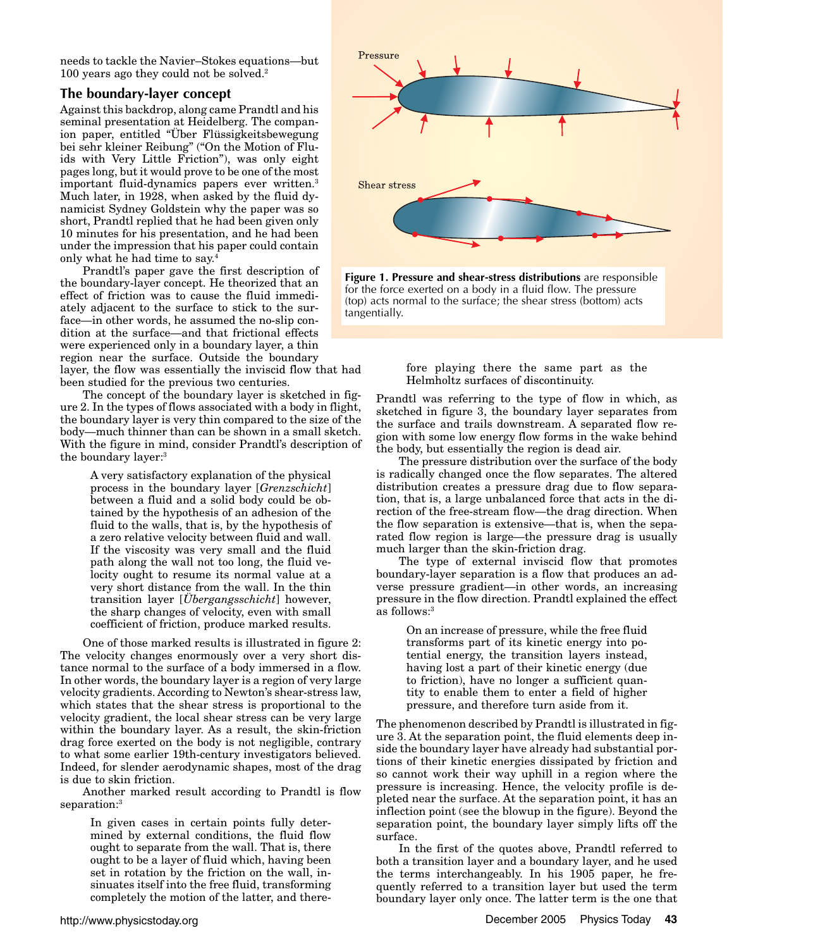needs to tackle the Navier–Stokes equations—but 100 years ago they could not be solved.2

## **The boundary-layer concept**

Against this backdrop, along came Prandtl and his seminal presentation at Heidelberg. The companion paper, entitled "Über Flüssigkeitsbewegung bei sehr kleiner Reibung" ("On the Motion of Fluids with Very Little Friction"), was only eight pages long, but it would prove to be one of the most important fluid-dynamics papers ever written.<sup>3</sup> Much later, in 1928, when asked by the fluid dynamicist Sydney Goldstein why the paper was so short, Prandtl replied that he had been given only 10 minutes for his presentation, and he had been under the impression that his paper could contain only what he had time to say.4

Prandtl's paper gave the first description of the boundary-layer concept. He theorized that an effect of friction was to cause the fluid immediately adjacent to the surface to stick to the surface—in other words, he assumed the no-slip condition at the surface—and that frictional effects were experienced only in a boundary layer, a thin region near the surface. Outside the boundary

layer, the flow was essentially the inviscid flow that had been studied for the previous two centuries.

The concept of the boundary layer is sketched in figure 2. In the types of flows associated with a body in flight, the boundary layer is very thin compared to the size of the body—much thinner than can be shown in a small sketch. With the figure in mind, consider Prandtl's description of the boundary layer:3

A very satisfactory explanation of the physical process in the boundary layer [*Grenzschicht*] between a fluid and a solid body could be obtained by the hypothesis of an adhesion of the fluid to the walls, that is, by the hypothesis of a zero relative velocity between fluid and wall. If the viscosity was very small and the fluid path along the wall not too long, the fluid velocity ought to resume its normal value at a very short distance from the wall. In the thin transition layer [*Übergangsschicht*] however, the sharp changes of velocity, even with small coefficient of friction, produce marked results.

One of those marked results is illustrated in figure 2: The velocity changes enormously over a very short distance normal to the surface of a body immersed in a flow. In other words, the boundary layer is a region of very large velocity gradients. According to Newton's shear-stress law, which states that the shear stress is proportional to the velocity gradient, the local shear stress can be very large within the boundary layer. As a result, the skin-friction drag force exerted on the body is not negligible, contrary to what some earlier 19th-century investigators believed. Indeed, for slender aerodynamic shapes, most of the drag is due to skin friction.

Another marked result according to Prandtl is flow separation:<sup>3</sup>

In given cases in certain points fully determined by external conditions, the fluid flow ought to separate from the wall. That is, there ought to be a layer of fluid which, having been set in rotation by the friction on the wall, insinuates itself into the free fluid, transforming completely the motion of the latter, and there-



**Figure 1. Pressure and shear-stress distributions** are responsible for the force exerted on a body in a fluid flow. The pressure (top) acts normal to the surface; the shear stress (bottom) acts tangentially.

fore playing there the same part as the Helmholtz surfaces of discontinuity.

Prandtl was referring to the type of flow in which, as sketched in figure 3, the boundary layer separates from the surface and trails downstream. A separated flow region with some low energy flow forms in the wake behind the body, but essentially the region is dead air.

The pressure distribution over the surface of the body is radically changed once the flow separates. The altered distribution creates a pressure drag due to flow separation, that is, a large unbalanced force that acts in the direction of the free-stream flow—the drag direction. When the flow separation is extensive—that is, when the separated flow region is large—the pressure drag is usually much larger than the skin-friction drag.

The type of external inviscid flow that promotes boundary-layer separation is a flow that produces an adverse pressure gradient—in other words, an increasing pressure in the flow direction. Prandtl explained the effect as follows:3

On an increase of pressure, while the free fluid transforms part of its kinetic energy into potential energy, the transition layers instead, having lost a part of their kinetic energy (due to friction), have no longer a sufficient quantity to enable them to enter a field of higher pressure, and therefore turn aside from it.

The phenomenon described by Prandtl is illustrated in figure 3. At the separation point, the fluid elements deep inside the boundary layer have already had substantial portions of their kinetic energies dissipated by friction and so cannot work their way uphill in a region where the pressure is increasing. Hence, the velocity profile is depleted near the surface. At the separation point, it has an inflection point (see the blowup in the figure). Beyond the separation point, the boundary layer simply lifts off the surface.

In the first of the quotes above, Prandtl referred to both a transition layer and a boundary layer, and he used the terms interchangeably. In his 1905 paper, he frequently referred to a transition layer but used the term boundary layer only once. The latter term is the one that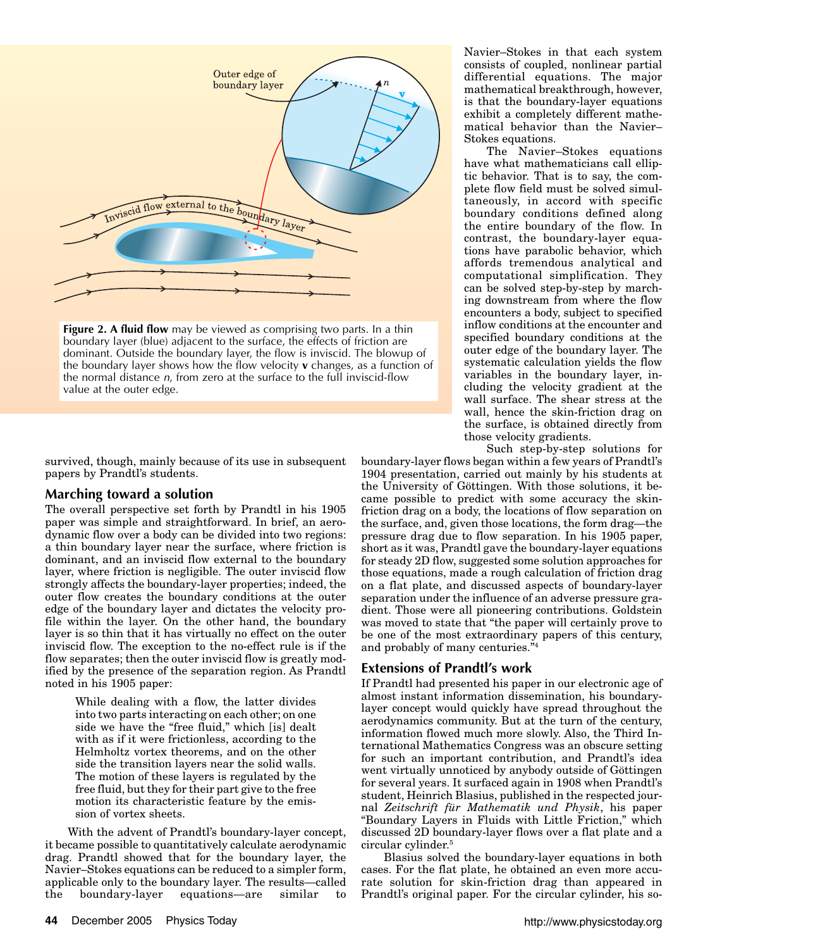

**Figure 2. A fluid flow** may be viewed as comprising two parts. In a thin boundary layer (blue) adjacent to the surface, the effects of friction are dominant. Outside the boundary layer, the flow is inviscid. The blowup of the boundary layer shows how the flow velocity **v** changes, as a function of the normal distance n, from zero at the surface to the full inviscid-flow value at the outer edge.

survived, though, mainly because of its use in subsequent papers by Prandtl's students.

## **Marching toward a solution**

The overall perspective set forth by Prandtl in his 1905 paper was simple and straightforward. In brief, an aerodynamic flow over a body can be divided into two regions: a thin boundary layer near the surface, where friction is dominant, and an inviscid flow external to the boundary layer, where friction is negligible. The outer inviscid flow strongly affects the boundary-layer properties; indeed, the outer flow creates the boundary conditions at the outer edge of the boundary layer and dictates the velocity profile within the layer. On the other hand, the boundary layer is so thin that it has virtually no effect on the outer inviscid flow. The exception to the no-effect rule is if the flow separates; then the outer inviscid flow is greatly modified by the presence of the separation region. As Prandtl noted in his 1905 paper:

While dealing with a flow, the latter divides into two parts interacting on each other; on one side we have the "free fluid," which [is] dealt with as if it were frictionless, according to the Helmholtz vortex theorems, and on the other side the transition layers near the solid walls. The motion of these layers is regulated by the free fluid, but they for their part give to the free motion its characteristic feature by the emission of vortex sheets.

With the advent of Prandtl's boundary-layer concept, it became possible to quantitatively calculate aerodynamic drag. Prandtl showed that for the boundary layer, the Navier–Stokes equations can be reduced to a simpler form, applicable only to the boundary layer. The results—called the boundary-layer equations—are similar to

Navier–Stokes in that each system consists of coupled, nonlinear partial differential equations. The major mathematical breakthrough, however, is that the boundary-layer equations exhibit a completely different mathematical behavior than the Navier– Stokes equations.

The Navier–Stokes equations have what mathematicians call elliptic behavior. That is to say, the complete flow field must be solved simultaneously, in accord with specific boundary conditions defined along the entire boundary of the flow. In contrast, the boundary-layer equations have parabolic behavior, which affords tremendous analytical and computational simplification. They can be solved step-by-step by marching downstream from where the flow encounters a body, subject to specified inflow conditions at the encounter and specified boundary conditions at the outer edge of the boundary layer. The systematic calculation yields the flow variables in the boundary layer, including the velocity gradient at the wall surface. The shear stress at the wall, hence the skin-friction drag on the surface, is obtained directly from those velocity gradients.

Such step-by-step solutions for

boundary-layer flows began within a few years of Prandtl's 1904 presentation, carried out mainly by his students at the University of Göttingen. With those solutions, it became possible to predict with some accuracy the skinfriction drag on a body, the locations of flow separation on the surface, and, given those locations, the form drag—the pressure drag due to flow separation. In his 1905 paper, short as it was, Prandtl gave the boundary-layer equations for steady 2D flow, suggested some solution approaches for those equations, made a rough calculation of friction drag on a flat plate, and discussed aspects of boundary-layer separation under the influence of an adverse pressure gradient. Those were all pioneering contributions. Goldstein was moved to state that "the paper will certainly prove to be one of the most extraordinary papers of this century, and probably of many centuries."4

#### **Extensions of Prandtl's work**

If Prandtl had presented his paper in our electronic age of almost instant information dissemination, his boundarylayer concept would quickly have spread throughout the aerodynamics community. But at the turn of the century, information flowed much more slowly. Also, the Third International Mathematics Congress was an obscure setting for such an important contribution, and Prandtl's idea went virtually unnoticed by anybody outside of Göttingen for several years. It surfaced again in 1908 when Prandtl's student, Heinrich Blasius, published in the respected journal *Zeitschrift für Mathematik und Physik*, his paper "Boundary Layers in Fluids with Little Friction," which discussed 2D boundary-layer flows over a flat plate and a circular cylinder.5

Blasius solved the boundary-layer equations in both cases. For the flat plate, he obtained an even more accurate solution for skin-friction drag than appeared in Prandtl's original paper. For the circular cylinder, his so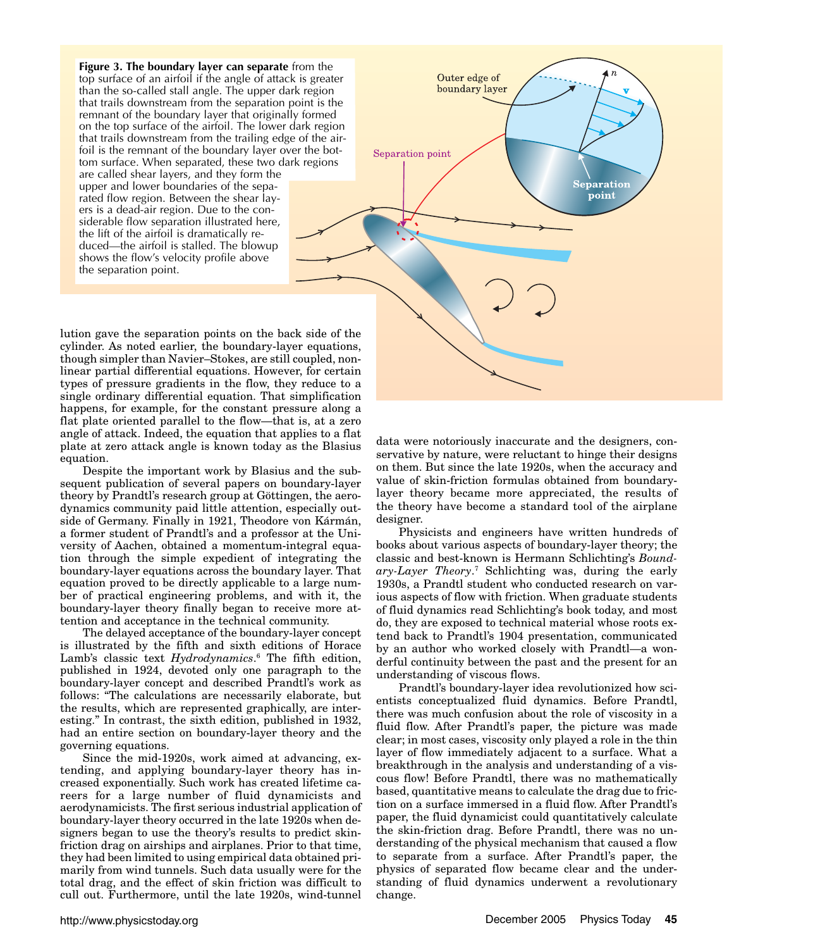**Figure 3. The boundary layer can separate** from the top surface of an airfoil if the angle of attack is greater than the so-called stall angle. The upper dark region that trails downstream from the separation point is the remnant of the boundary layer that originally formed on the top surface of the airfoil. The lower dark region that trails downstream from the trailing edge of the airfoil is the remnant of the boundary layer over the bottom surface. When separated, these two dark regions are called shear layers, and they form the upper and lower boundaries of the separated flow region. Between the shear layers is a dead-air region. Due to the considerable flow separation illustrated here, the lift of the airfoil is dramatically reduced—the airfoil is stalled. The blowup shows the flow's velocity profile above the separation point.



lution gave the separation points on the back side of the cylinder. As noted earlier, the boundary-layer equations, though simpler than Navier–Stokes, are still coupled, nonlinear partial differential equations. However, for certain types of pressure gradients in the flow, they reduce to a single ordinary differential equation. That simplification happens, for example, for the constant pressure along a flat plate oriented parallel to the flow—that is, at a zero angle of attack. Indeed, the equation that applies to a flat plate at zero attack angle is known today as the Blasius equation.

Despite the important work by Blasius and the subsequent publication of several papers on boundary-layer theory by Prandtl's research group at Göttingen, the aerodynamics community paid little attention, especially outside of Germany. Finally in 1921, Theodore von Kármán, a former student of Prandtl's and a professor at the University of Aachen, obtained a momentum-integral equation through the simple expedient of integrating the boundary-layer equations across the boundary layer. That equation proved to be directly applicable to a large number of practical engineering problems, and with it, the boundary-layer theory finally began to receive more attention and acceptance in the technical community.

The delayed acceptance of the boundary-layer concept is illustrated by the fifth and sixth editions of Horace Lamb's classic text *Hydrodynamics*. <sup>6</sup> The fifth edition, published in 1924, devoted only one paragraph to the boundary-layer concept and described Prandtl's work as follows: "The calculations are necessarily elaborate, but the results, which are represented graphically, are interesting." In contrast, the sixth edition, published in 1932, had an entire section on boundary-layer theory and the governing equations.

Since the mid-1920s, work aimed at advancing, extending, and applying boundary-layer theory has increased exponentially. Such work has created lifetime careers for a large number of fluid dynamicists and aerodynamicists. The first serious industrial application of boundary-layer theory occurred in the late 1920s when designers began to use the theory's results to predict skinfriction drag on airships and airplanes. Prior to that time, they had been limited to using empirical data obtained primarily from wind tunnels. Such data usually were for the total drag, and the effect of skin friction was difficult to cull out. Furthermore, until the late 1920s, wind-tunnel

data were notoriously inaccurate and the designers, conservative by nature, were reluctant to hinge their designs on them. But since the late 1920s, when the accuracy and value of skin-friction formulas obtained from boundarylayer theory became more appreciated, the results of the theory have become a standard tool of the airplane designer.

Physicists and engineers have written hundreds of books about various aspects of boundary-layer theory; the classic and best-known is Hermann Schlichting's *Boundary-Layer Theory*. <sup>7</sup> Schlichting was, during the early 1930s, a Prandtl student who conducted research on various aspects of flow with friction. When graduate students of fluid dynamics read Schlichting's book today, and most do, they are exposed to technical material whose roots extend back to Prandtl's 1904 presentation, communicated by an author who worked closely with Prandtl—a wonderful continuity between the past and the present for an understanding of viscous flows.

Prandtl's boundary-layer idea revolutionized how scientists conceptualized fluid dynamics. Before Prandtl, there was much confusion about the role of viscosity in a fluid flow. After Prandtl's paper, the picture was made clear; in most cases, viscosity only played a role in the thin layer of flow immediately adjacent to a surface. What a breakthrough in the analysis and understanding of a viscous flow! Before Prandtl, there was no mathematically based, quantitative means to calculate the drag due to friction on a surface immersed in a fluid flow. After Prandtl's paper, the fluid dynamicist could quantitatively calculate the skin-friction drag. Before Prandtl, there was no understanding of the physical mechanism that caused a flow to separate from a surface. After Prandtl's paper, the physics of separated flow became clear and the understanding of fluid dynamics underwent a revolutionary change.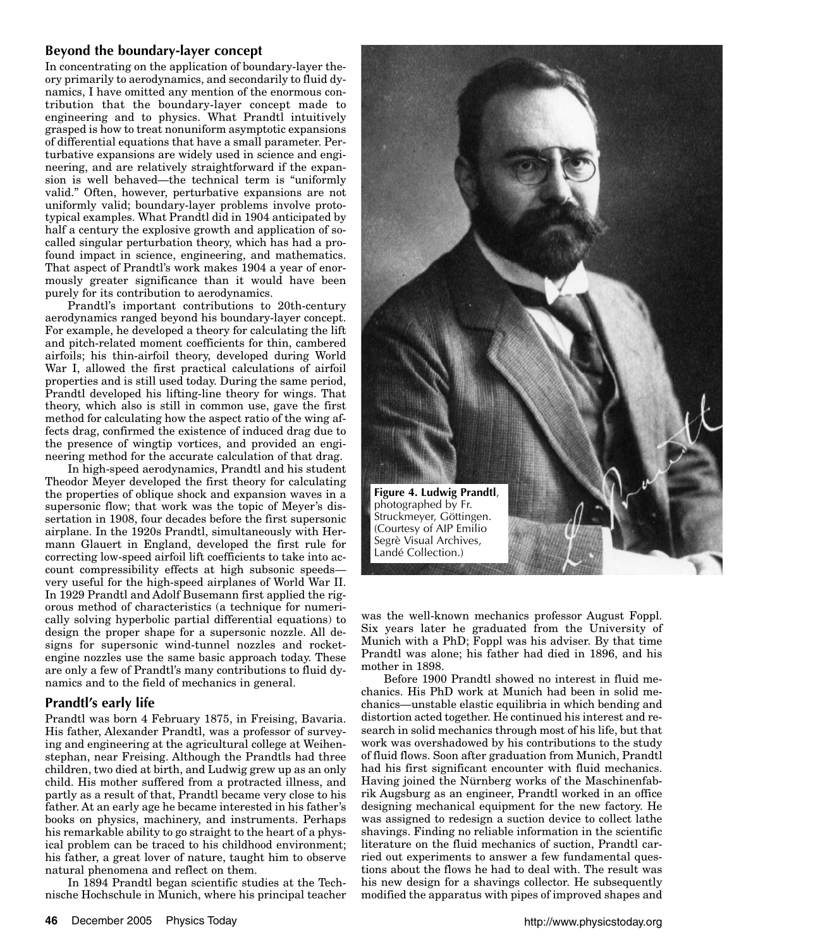# **Beyond the boundary-layer concept**

In concentrating on the application of boundary-layer theory primarily to aerodynamics, and secondarily to fluid dynamics, I have omitted any mention of the enormous contribution that the boundary-layer concept made to engineering and to physics. What Prandtl intuitively grasped is how to treat nonuniform asymptotic expansions of differential equations that have a small parameter. Perturbative expansions are widely used in science and engineering, and are relatively straightforward if the expansion is well behaved—the technical term is "uniformly valid." Often, however, perturbative expansions are not uniformly valid; boundary-layer problems involve prototypical examples. What Prandtl did in 1904 anticipated by half a century the explosive growth and application of socalled singular perturbation theory, which has had a profound impact in science, engineering, and mathematics. That aspect of Prandtl's work makes 1904 a year of enormously greater significance than it would have been purely for its contribution to aerodynamics.

Prandtl's important contributions to 20th-century aerodynamics ranged beyond his boundary-layer concept. For example, he developed a theory for calculating the lift and pitch-related moment coefficients for thin, cambered airfoils; his thin-airfoil theory, developed during World War I, allowed the first practical calculations of airfoil properties and is still used today. During the same period, Prandtl developed his lifting-line theory for wings. That theory, which also is still in common use, gave the first method for calculating how the aspect ratio of the wing affects drag, confirmed the existence of induced drag due to the presence of wingtip vortices, and provided an engineering method for the accurate calculation of that drag.

In high-speed aerodynamics, Prandtl and his student Theodor Meyer developed the first theory for calculating the properties of oblique shock and expansion waves in a supersonic flow; that work was the topic of Meyer's dissertation in 1908, four decades before the first supersonic airplane. In the 1920s Prandtl, simultaneously with Hermann Glauert in England, developed the first rule for correcting low-speed airfoil lift coefficients to take into account compressibility effects at high subsonic speeds very useful for the high-speed airplanes of World War II. In 1929 Prandtl and Adolf Busemann first applied the rigorous method of characteristics (a technique for numerically solving hyperbolic partial differential equations) to design the proper shape for a supersonic nozzle. All designs for supersonic wind-tunnel nozzles and rocketengine nozzles use the same basic approach today. These are only a few of Prandtl's many contributions to fluid dynamics and to the field of mechanics in general.

# **Prandtl's early life**

Prandtl was born 4 February 1875, in Freising, Bavaria. His father, Alexander Prandtl, was a professor of surveying and engineering at the agricultural college at Weihenstephan, near Freising. Although the Prandtls had three children, two died at birth, and Ludwig grew up as an only child. His mother suffered from a protracted illness, and partly as a result of that, Prandtl became very close to his father. At an early age he became interested in his father's books on physics, machinery, and instruments. Perhaps his remarkable ability to go straight to the heart of a physical problem can be traced to his childhood environment; his father, a great lover of nature, taught him to observe natural phenomena and reflect on them.

In 1894 Prandtl began scientific studies at the Technische Hochschule in Munich, where his principal teacher



was the well-known mechanics professor August Foppl. Six years later he graduated from the University of Munich with a PhD; Foppl was his adviser. By that time Prandtl was alone; his father had died in 1896, and his mother in 1898.

Before 1900 Prandtl showed no interest in fluid mechanics. His PhD work at Munich had been in solid mechanics—unstable elastic equilibria in which bending and distortion acted together. He continued his interest and research in solid mechanics through most of his life, but that work was overshadowed by his contributions to the study of fluid flows. Soon after graduation from Munich, Prandtl had his first significant encounter with fluid mechanics. Having joined the Nürnberg works of the Maschinenfabrik Augsburg as an engineer, Prandtl worked in an office designing mechanical equipment for the new factory. He was assigned to redesign a suction device to collect lathe shavings. Finding no reliable information in the scientific literature on the fluid mechanics of suction, Prandtl carried out experiments to answer a few fundamental questions about the flows he had to deal with. The result was his new design for a shavings collector. He subsequently modified the apparatus with pipes of improved shapes and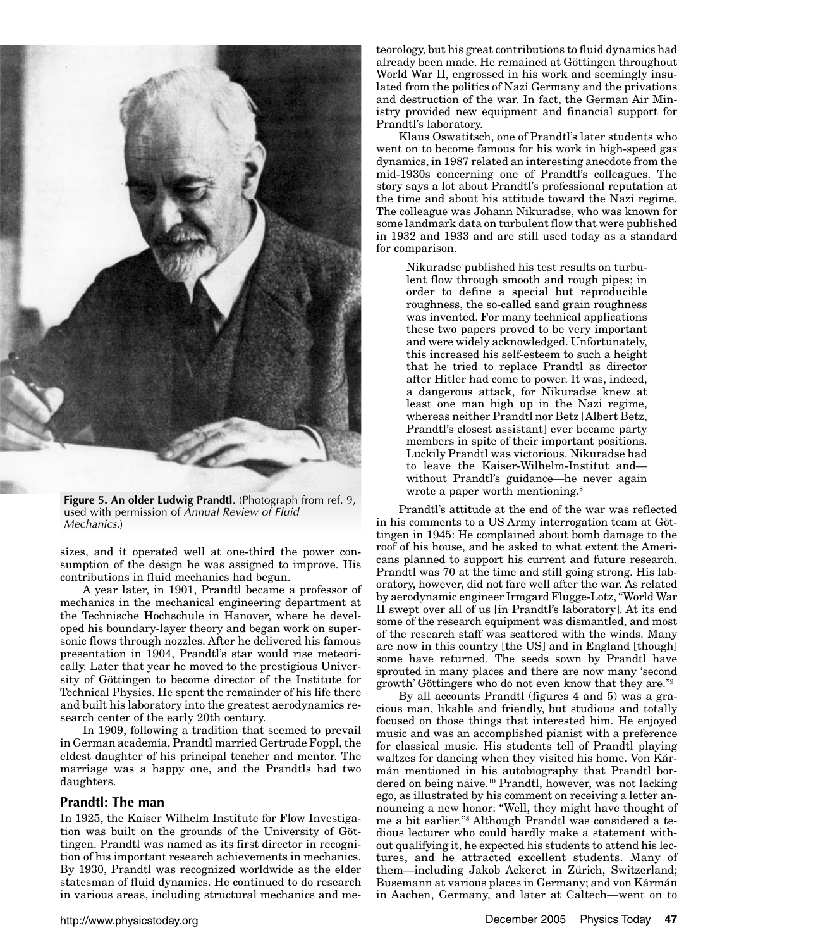

**Figure 5. An older Ludwig Prandtl**. (Photograph from ref. 9, used with permission of Annual Review of Fluid Mechanics.)

sizes, and it operated well at one-third the power consumption of the design he was assigned to improve. His contributions in fluid mechanics had begun.

A year later, in 1901, Prandtl became a professor of mechanics in the mechanical engineering department at the Technische Hochschule in Hanover, where he developed his boundary-layer theory and began work on supersonic flows through nozzles. After he delivered his famous presentation in 1904, Prandtl's star would rise meteorically. Later that year he moved to the prestigious University of Göttingen to become director of the Institute for Technical Physics. He spent the remainder of his life there and built his laboratory into the greatest aerodynamics research center of the early 20th century.

In 1909, following a tradition that seemed to prevail in German academia, Prandtl married Gertrude Foppl, the eldest daughter of his principal teacher and mentor. The marriage was a happy one, and the Prandtls had two daughters.

## **Prandtl: The man**

In 1925, the Kaiser Wilhelm Institute for Flow Investigation was built on the grounds of the University of Göttingen. Prandtl was named as its first director in recognition of his important research achievements in mechanics. By 1930, Prandtl was recognized worldwide as the elder statesman of fluid dynamics. He continued to do research in various areas, including structural mechanics and me-

teorology, but his great contributions to fluid dynamics had already been made. He remained at Göttingen throughout World War II, engrossed in his work and seemingly insulated from the politics of Nazi Germany and the privations and destruction of the war. In fact, the German Air Ministry provided new equipment and financial support for Prandtl's laboratory.

Klaus Oswatitsch, one of Prandtl's later students who went on to become famous for his work in high-speed gas dynamics, in 1987 related an interesting anecdote from the mid-1930s concerning one of Prandtl's colleagues. The story says a lot about Prandtl's professional reputation at the time and about his attitude toward the Nazi regime. The colleague was Johann Nikuradse, who was known for some landmark data on turbulent flow that were published in 1932 and 1933 and are still used today as a standard for comparison.

Nikuradse published his test results on turbulent flow through smooth and rough pipes; in order to define a special but reproducible roughness, the so-called sand grain roughness was invented. For many technical applications these two papers proved to be very important and were widely acknowledged. Unfortunately, this increased his self-esteem to such a height that he tried to replace Prandtl as director after Hitler had come to power. It was, indeed, a dangerous attack, for Nikuradse knew at least one man high up in the Nazi regime, whereas neither Prandtl nor Betz [Albert Betz, Prandtl's closest assistant] ever became party members in spite of their important positions. Luckily Prandtl was victorious. Nikuradse had to leave the Kaiser-Wilhelm-Institut and without Prandtl's guidance—he never again wrote a paper worth mentioning.<sup>8</sup>

Prandtl's attitude at the end of the war was reflected in his comments to a US Army interrogation team at Göttingen in 1945: He complained about bomb damage to the roof of his house, and he asked to what extent the Americans planned to support his current and future research. Prandtl was 70 at the time and still going strong. His laboratory, however, did not fare well after the war. As related by aerodynamic engineer Irmgard Flugge-Lotz, "World War II swept over all of us [in Prandtl's laboratory]. At its end some of the research equipment was dismantled, and most of the research staff was scattered with the winds. Many are now in this country [the US] and in England [though] some have returned. The seeds sown by Prandtl have sprouted in many places and there are now many 'second growth' Göttingers who do not even know that they are."9

By all accounts Prandtl (figures 4 and 5) was a gracious man, likable and friendly, but studious and totally focused on those things that interested him. He enjoyed music and was an accomplished pianist with a preference for classical music. His students tell of Prandtl playing waltzes for dancing when they visited his home. Von Kármán mentioned in his autobiography that Prandtl bordered on being naive.<sup>10</sup> Prandtl, however, was not lacking ego, as illustrated by his comment on receiving a letter announcing a new honor: "Well, they might have thought of me a bit earlier."8 Although Prandtl was considered a tedious lecturer who could hardly make a statement without qualifying it, he expected his students to attend his lectures, and he attracted excellent students. Many of them—including Jakob Ackeret in Zürich, Switzerland; Busemann at various places in Germany; and von Kármán in Aachen, Germany, and later at Caltech—went on to